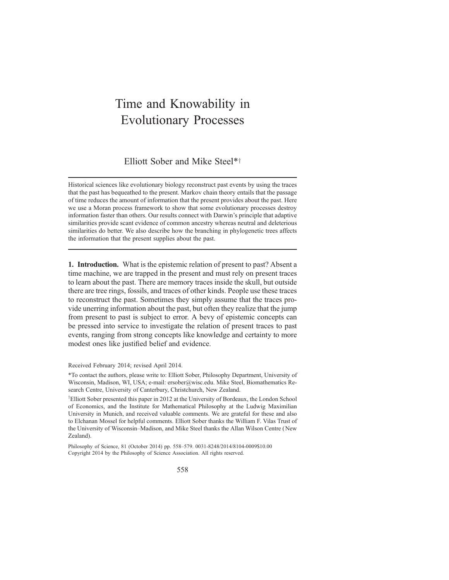# Time and Knowability in Evolutionary Processes

## Elliott Sober and Mike Steel\*<sup>†</sup>

Historical sciences like evolutionary biology reconstruct past events by using the traces that the past has bequeathed to the present. Markov chain theory entails that the passage of time reduces the amount of information that the present provides about the past. Here we use a Moran process framework to show that some evolutionary processes destroy information faster than others. Our results connect with Darwin's principle that adaptive similarities provide scant evidence of common ancestry whereas neutral and deleterious similarities do better. We also describe how the branching in phylogenetic trees affects the information that the present supplies about the past.

1. Introduction. What is the epistemic relation of present to past? Absent a time machine, we are trapped in the present and must rely on present traces to learn about the past. There are memory traces inside the skull, but outside there are tree rings, fossils, and traces of other kinds. People use these traces to reconstruct the past. Sometimes they simply assume that the traces provide unerring information about the past, but often they realize that the jump from present to past is subject to error. A bevy of epistemic concepts can be pressed into service to investigate the relation of present traces to past events, ranging from strong concepts like knowledge and certainty to more modest ones like justified belief and evidence.

Received February 2014; revised April 2014.

\*To contact the authors, please write to: Elliott Sober, Philosophy Department, University of Wisconsin, Madison, WI, USA; e-mail: ersober@wisc.edu. Mike Steel, Biomathematics Research Centre, University of Canterbury, Christchurch, New Zealand.

<sup>†</sup>Elliott Sober presented this paper in 2012 at the University of Bordeaux, the London School of Economics, and the Institute for Mathematical Philosophy at the Ludwig Maximilian University in Munich, and received valuable comments. We are grateful for these and also to Elchanan Mossel for helpful comments. Elliott Sober thanks the William F. Vilas Trust of the University of Wisconsin–Madison, and Mike Steel thanks the Allan Wilson Centre (New Zealand).

Philosophy of Science, 81 (October 2014) pp. 558–579. 0031-8248/2014/8104-0009\$10.00 Copyright 2014 by the Philosophy of Science Association. All rights reserved.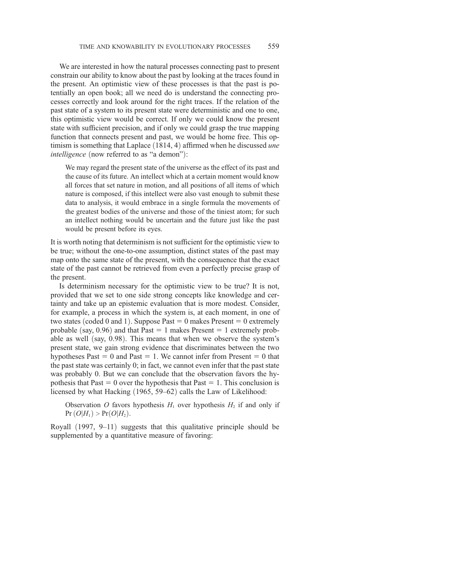We are interested in how the natural processes connecting past to present constrain our ability to know about the past by looking at the traces found in the present. An optimistic view of these processes is that the past is potentially an open book; all we need do is understand the connecting processes correctly and look around for the right traces. If the relation of the past state of a system to its present state were deterministic and one to one, this optimistic view would be correct. If only we could know the present state with sufficient precision, and if only we could grasp the true mapping function that connects present and past, we would be home free. This optimism is something that Laplace  $(1814, 4)$  affirmed when he discussed une intelligence (now referred to as "a demon"):

We may regard the present state of the universe as the effect of its past and the cause of its future. An intellect which at a certain moment would know all forces that set nature in motion, and all positions of all items of which nature is composed, if this intellect were also vast enough to submit these data to analysis, it would embrace in a single formula the movements of the greatest bodies of the universe and those of the tiniest atom; for such an intellect nothing would be uncertain and the future just like the past would be present before its eyes.

It is worth noting that determinism is not sufficient for the optimistic view to be true; without the one-to-one assumption, distinct states of the past may map onto the same state of the present, with the consequence that the exact state of the past cannot be retrieved from even a perfectly precise grasp of the present.

Is determinism necessary for the optimistic view to be true? It is not, provided that we set to one side strong concepts like knowledge and certainty and take up an epistemic evaluation that is more modest. Consider, for example, a process in which the system is, at each moment, in one of two states (coded 0 and 1). Suppose Past  $= 0$  makes Present  $= 0$  extremely probable (say,  $0.96$ ) and that Past = 1 makes Present = 1 extremely probable as well (say, 0.98). This means that when we observe the system's present state, we gain strong evidence that discriminates between the two hypotheses Past  $= 0$  and Past  $= 1$ . We cannot infer from Present  $= 0$  that the past state was certainly 0; in fact, we cannot even infer that the past state was probably 0. But we can conclude that the observation favors the hypothesis that Past  $= 0$  over the hypothesis that Past  $= 1$ . This conclusion is licensed by what Hacking  $(1965, 59–62)$  calls the Law of Likelihood:

Observation O favors hypothesis  $H_1$  over hypothesis  $H_2$  if and only if  $Pr(O|H_1)$  >  $Pr(O|H_2)$ .

Royall  $(1997, 9-11)$  suggests that this qualitative principle should be supplemented by a quantitative measure of favoring: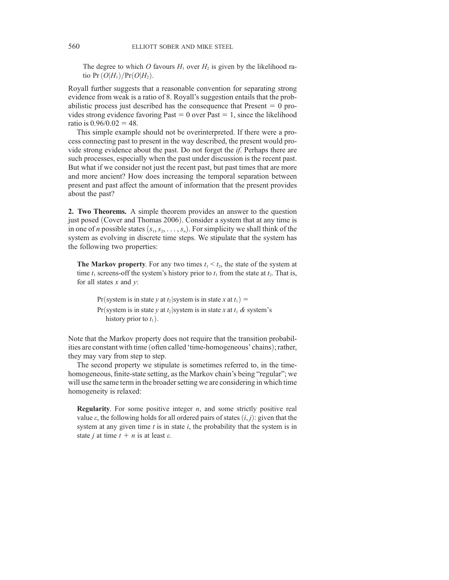The degree to which O favours  $H_1$  over  $H_2$  is given by the likelihood ratio Pr $(O|H_1)/Pr(O|H_2)$ .

Royall further suggests that a reasonable convention for separating strong evidence from weak is a ratio of 8. Royall's suggestion entails that the probabilistic process just described has the consequence that Present  $= 0$  provides strong evidence favoring Past  $= 0$  over Past  $= 1$ , since the likelihood ratio is  $0.96/0.02 = 48$ .

This simple example should not be overinterpreted. If there were a process connecting past to present in the way described, the present would provide strong evidence about the past. Do not forget the if. Perhaps there are such processes, especially when the past under discussion is the recent past. But what if we consider not just the recent past, but past times that are more and more ancient? How does increasing the temporal separation between present and past affect the amount of information that the present provides about the past?

2. Two Theorems. A simple theorem provides an answer to the question just posed (Cover and Thomas 2006). Consider a system that at any time is in one of *n* possible states  $(s_1, s_2, \ldots, s_n)$ . For simplicity we shall think of the system as evolving in discrete time steps. We stipulate that the system has the following two properties:

**The Markov property.** For any two times  $t_1 \leq t_2$ , the state of the system at time  $t_1$  screens-off the system's history prior to  $t_1$  from the state at  $t_2$ . That is, for all states  $x$  and  $y$ :

Pr(system is in state y at t<sub>2</sub>) system is in state x at  $t_1$ ) = Pr(system is in state y at  $t_2$ |system is in state x at  $t_1$  & system's history prior to  $t_1$ ).

Note that the Markov property does not require that the transition probabilities are constant with time (often called 'time-homogeneous' chains); rather, they may vary from step to step.

The second property we stipulate is sometimes referred to, in the timehomogeneous, finite-state setting, as the Markov chain's being "regular"; we will use the same term in the broader setting we are considering in which time homogeneity is relaxed:

**Regularity**. For some positive integer  $n$ , and some strictly positive real value  $\varepsilon$ , the following holds for all ordered pairs of states  $(i, j)$ : given that the system at any given time  $t$  is in state  $i$ , the probability that the system is in state *j* at time  $t + n$  is at least  $\varepsilon$ .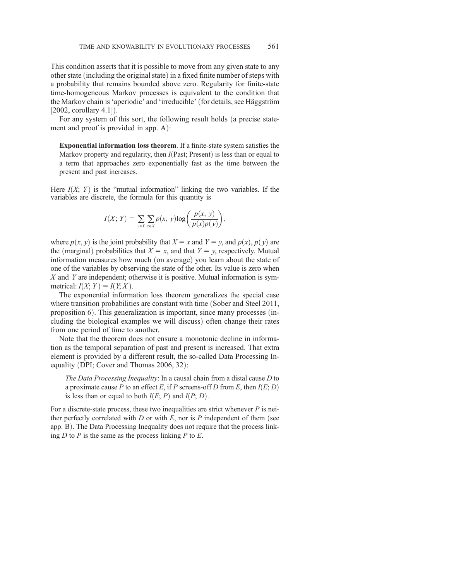This condition asserts that it is possible to move from any given state to any other state (including the original state) in a fixed finite number of steps with a probability that remains bounded above zero. Regularity for finite-state time-homogeneous Markov processes is equivalent to the condition that the Markov chain is 'aperiodic' and 'irreducible' (for details, see Häggström  $[2002, \text{ corollary } 4.1]$ .<br>For any system of

For any system of this sort, the following result holds (a precise statement and proof is provided in app.  $A$ :

Exponential information loss theorem. If a finite-state system satisfies the Markov property and regularity, then  $I(Past; Present)$  is less than or equal to a term that approaches zero exponentially fast as the time between the present and past increases.

Here  $I(X; Y)$  is the "mutual information" linking the two variables. If the variables are discrete, the formula for this quantity is

$$
I(X; Y) = \sum_{y \in Y} \sum_{x \in X} p(x, y) \log \left( \frac{p(x, y)}{p(x)p(y)} \right),
$$

where  $p(x, y)$  is the joint probability that  $X = x$  and  $Y = y$ , and  $p(x)$ ,  $p(y)$  are the (marginal) probabilities that  $X = x$ , and that  $Y = y$ , respectively. Mutual the (marginal) probabilities that  $X = x$ , and that  $Y = y$ , respectively. Mutual<br>information measures how much (on average) you learn about the state of information measures how much (on average) you learn about the state of  $\rho$  one of the variables by observing the state of the other. Its value is zero when one of the variables by observing the state of the other. Its value is zero when  $X$  and  $Y$  are independent; otherwise it is positive. Mutual information is symmetrical:  $I(X; Y) = I(Y; X)$ .

The exponential information loss theorem generalizes the special case where transition probabilities are constant with time (Sober and Steel 2011, proposition  $6$ ). This generalization is important, since many processes (including the biological examples we will discuss) often change their rates from one period of time to another.

Note that the theorem does not ensure a monotonic decline in information as the temporal separation of past and present is increased. That extra element is provided by a different result, the so-called Data Processing Inequality (DPI; Cover and Thomas  $2006, 32$ ):

The Data Processing Inequality: In a causal chain from a distal cause D to a proximate cause P to an effect E, if P screens-off D from E, then  $I(E; D)$ is less than or equal to both  $I(E; P)$  and  $I(P; D)$ .

For a discrete-state process, these two inequalities are strict whenever  $P$  is neither perfectly correlated with  $D$  or with  $E$ , nor is  $P$  independent of them (see app. B). The Data Processing Inequality does not require that the process linking  $D$  to  $P$  is the same as the process linking  $P$  to  $E$ .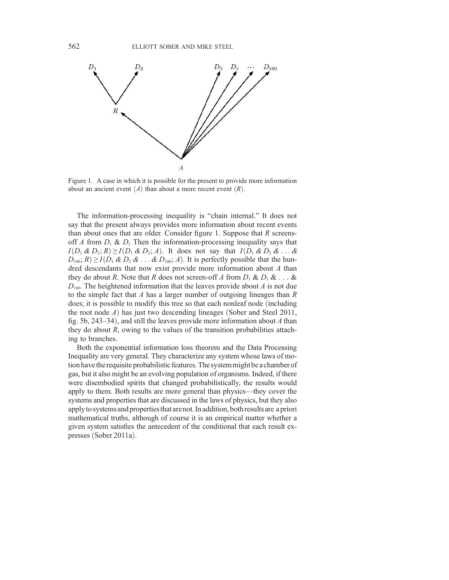

Figure 1. A case in which it is possible for the present to provide more information about an ancient event  $(A)$  than about a more recent event  $(R)$ .

The information-processing inequality is "chain internal." It does not say that the present always provides more information about recent events than about ones that are older. Consider figure 1. Suppose that  $R$  screensoff A from  $D_1 \& D_2$  Then the information-processing inequality says that  $I(D_1 \& D_2; R) \ge I(D_1 \& D_2; A)$ . It does not say that  $I(D_1 \& D_2 \& \dots \& D_1)$  $D_{100}$ ;  $R$ )  $\geq I(D_1 \& D_2 \& \dots \& D_{100}$ ; A). It is perfectly possible that the hundred descendants that now exist provide more information about A than they do about R. Note that R does not screen-off A from  $D_1 \& D_2 \& \ldots \&$  $D_{100}$ . The heightened information that the leaves provide about A is not due to the simple fact that  $A$  has a larger number of outgoing lineages than  $R$ does; it is possible to modify this tree so that each nonleaf node (including the root node  $A$ ) has just two descending lineages (Sober and Steel 2011, fig. 5b, 243–34), and still the leaves provide more information about A than they do about  $R$ , owing to the values of the transition probabilities attaching to branches.

Both the exponential information loss theorem and the Data Processing Inequality are very general. They characterize any system whose laws of motion have the requisite probabilistic features. The system might be a chamber of gas, but it also might be an evolving population of organisms. Indeed, if there were disembodied spirits that changed probabilistically, the results would apply to them. Both results are more general than physics—they cover the systems and properties that are discussed in the laws of physics, but they also applyto systems and propertiesthat are not. In addition, both results are a priori mathematical truths, although of course it is an empirical matter whether a given system satisfies the antecedent of the conditional that each result expresses (Sober 2011a).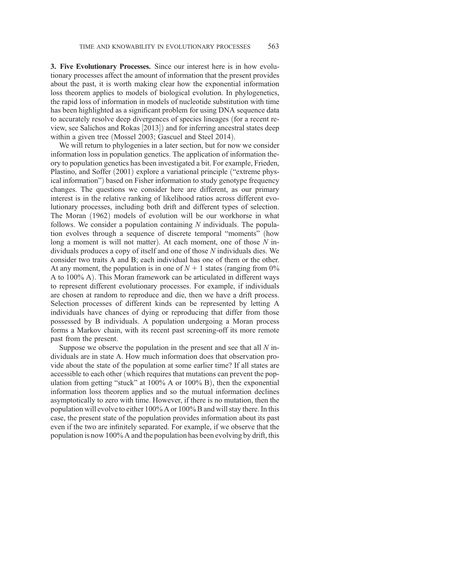3. Five Evolutionary Processes. Since our interest here is in how evolutionary processes affect the amount of information that the present provides about the past, it is worth making clear how the exponential information loss theorem applies to models of biological evolution. In phylogenetics, the rapid loss of information in models of nucleotide substitution with time has been highlighted as a significant problem for using DNA sequence data to accurately resolve deep divergences of species lineages (for a recent review, see Salichos and Rokas [2013]) and for inferring ancestral states deep<br>within a given tree (Mossel 2003: Gascuel and Steel 2014) within a given tree (Mossel 2003; Gascuel and Steel 2014).

We will return to phylogenies in a later section, but for now we consider information loss in population genetics. The application of information theory to population genetics has been investigated a bit. For example, Frieden, Plastino, and Soffer (2001) explore a variational principle ("extreme physical information") based on Fisher information to study genotype frequency changes. The questions we consider here are different, as our primary interest is in the relative ranking of likelihood ratios across different evolutionary processes, including both drift and different types of selection. The Moran (1962) models of evolution will be our workhorse in what follows. We consider a population containing  $N$  individuals. The population evolves through a sequence of discrete temporal "moments" (how long a moment is will not matter). At each moment, one of those  $N$  individuals produces a copy of itself and one of those N individuals dies. We consider two traits A and B; each individual has one of them or the other. At any moment, the population is in one of  $N + 1$  states (ranging from 0%) A to 100% A). This Moran framework can be articulated in different ways to represent different evolutionary processes. For example, if individuals are chosen at random to reproduce and die, then we have a drift process. Selection processes of different kinds can be represented by letting A individuals have chances of dying or reproducing that differ from those possessed by B individuals. A population undergoing a Moran process forms a Markov chain, with its recent past screening-off its more remote past from the present.

Suppose we observe the population in the present and see that all  $N$  individuals are in state A. How much information does that observation provide about the state of the population at some earlier time? If all states are accessible to each other (which requires that mutations can prevent the population from getting "stuck" at  $100\%$  A or  $100\%$  B), then the exponential information loss theorem applies and so the mutual information declines asymptotically to zero with time. However, if there is no mutation, then the population will evolve to either 100% A or 100% B and will stay there. In this case, the present state of the population provides information about its past even if the two are infinitely separated. For example, if we observe that the population is now 100% A and the population has been evolving by drift, this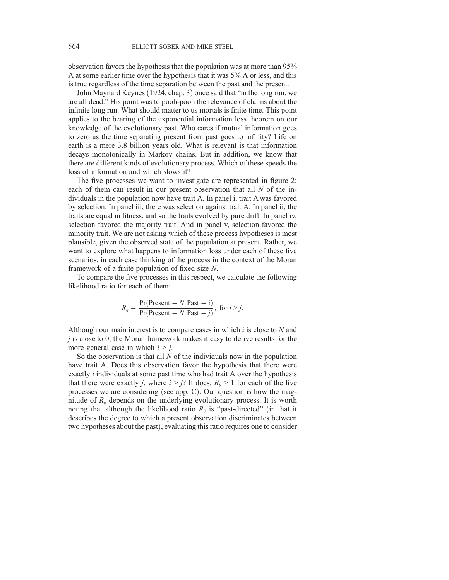observation favors the hypothesis that the population was at more than 95% A at some earlier time over the hypothesis that it was 5% A or less, and this is true regardless of the time separation between the past and the present.

John Maynard Keynes (1924, chap. 3) once said that "in the long run, we are all dead." His point was to pooh-pooh the relevance of claims about the infinite long run. What should matter to us mortals is finite time. This point applies to the bearing of the exponential information loss theorem on our knowledge of the evolutionary past. Who cares if mutual information goes to zero as the time separating present from past goes to infinity? Life on earth is a mere 3.8 billion years old. What is relevant is that information decays monotonically in Markov chains. But in addition, we know that there are different kinds of evolutionary process. Which of these speeds the loss of information and which slows it?

The five processes we want to investigate are represented in figure 2; each of them can result in our present observation that all  $N$  of the individuals in the population now have trait A. In panel i, trait A was favored by selection. In panel iii, there was selection against trait A. In panel ii, the traits are equal in fitness, and so the traits evolved by pure drift. In panel iv, selection favored the majority trait. And in panel v, selection favored the minority trait. We are not asking which of these process hypotheses is most plausible, given the observed state of the population at present. Rather, we want to explore what happens to information loss under each of these five scenarios, in each case thinking of the process in the context of the Moran framework of a finite population of fixed size N.

To compare the five processes in this respect, we calculate the following likelihood ratio for each of them:

$$
R_{ij} = \frac{\Pr(\text{Present} = N | \text{Fast} = i)}{\Pr(\text{Present} = N | \text{Fast} = j)}, \text{ for } i > j.
$$

Although our main interest is to compare cases in which  $i$  is close to  $N$  and  $j$  is close to 0, the Moran framework makes it easy to derive results for the more general case in which  $i > j$ .

So the observation is that all  $N$  of the individuals now in the population have trait A. Does this observation favor the hypothesis that there were exactly i individuals at some past time who had trait A over the hypothesis that there were exactly *j*, where  $i > j$ ? It does;  $R_{ij} > 1$  for each of the five processes we are considering (see app. C). Our question is how the magnitude of  $R_{ij}$  depends on the underlying evolutionary process. It is worth noting that although the likelihood ratio  $R_{ii}$  is "past-directed" (in that it describes the degree to which a present observation discriminates between two hypotheses about the past), evaluating this ratio requires one to consider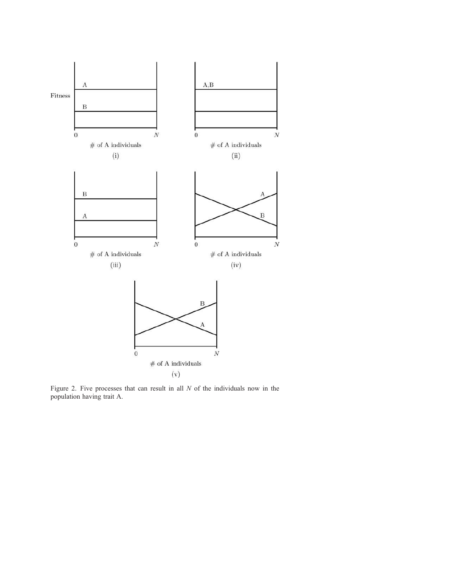

Figure 2. Five processes that can result in all  $N$  of the individuals now in the population having trait A.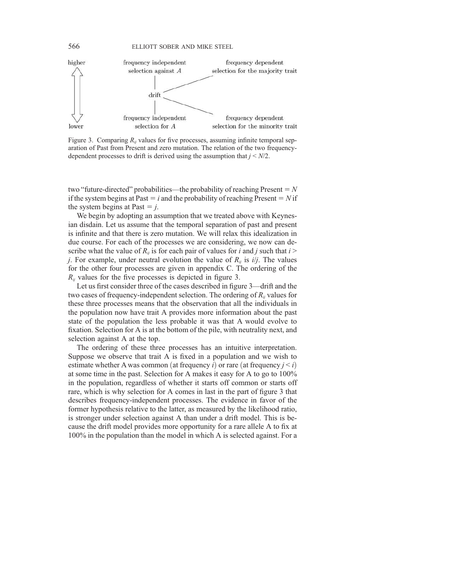

Figure 3. Comparing  $R_{ii}$  values for five processes, assuming infinite temporal separation of Past from Present and zero mutation. The relation of the two frequencydependent processes to drift is derived using the assumption that  $j \le N/2$ .

two "future-directed" probabilities—the probability of reaching Present  $=N$ if the system begins at Past  $=$  i and the probability of reaching Present  $=$  N if the system begins at Past  $=$  j.

We begin by adopting an assumption that we treated above with Keynesian disdain. Let us assume that the temporal separation of past and present is infinite and that there is zero mutation. We will relax this idealization in due course. For each of the processes we are considering, we now can describe what the value of  $R_{ii}$  is for each pair of values for i and j such that  $i >$ *j*. For example, under neutral evolution the value of  $R_{ii}$  is *i/j*. The values for the other four processes are given in appendix C. The ordering of the  $R_{ij}$  values for the five processes is depicted in figure 3.

Let us first consider three of the cases described in figure 3—drift and the two cases of frequency-independent selection. The ordering of  $R_{ii}$  values for these three processes means that the observation that all the individuals in the population now have trait A provides more information about the past state of the population the less probable it was that A would evolve to fixation. Selection for A is at the bottom of the pile, with neutrality next, and selection against A at the top.

The ordering of these three processes has an intuitive interpretation. Suppose we observe that trait A is fixed in a population and we wish to estimate whether A was common (at frequency i) or rare (at frequency  $j < i$ ) at some time in the past. Selection for A makes it easy for A to go to 100% in the population, regardless of whether it starts off common or starts off rare, which is why selection for A comes in last in the part of figure 3 that describes frequency-independent processes. The evidence in favor of the former hypothesis relative to the latter, as measured by the likelihood ratio, is stronger under selection against A than under a drift model. This is because the drift model provides more opportunity for a rare allele A to fix at 100% in the population than the model in which A is selected against. For a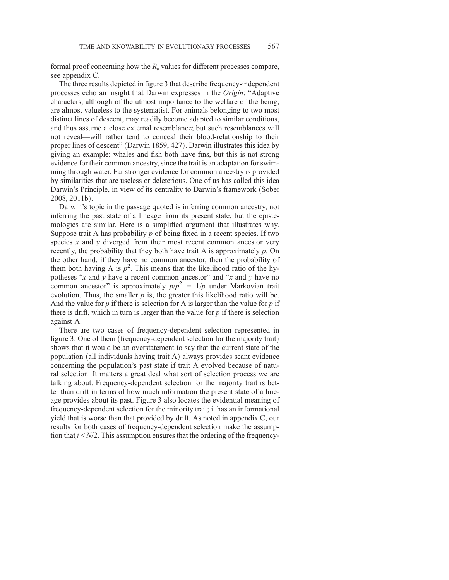formal proof concerning how the  $R_{ii}$  values for different processes compare, see appendix C.

The three results depicted in figure 3 that describe frequency-independent processes echo an insight that Darwin expresses in the Origin: "Adaptive characters, although of the utmost importance to the welfare of the being, are almost valueless to the systematist. For animals belonging to two most distinct lines of descent, may readily become adapted to similar conditions, and thus assume a close external resemblance; but such resemblances will not reveal—will rather tend to conceal their blood-relationship to their proper lines of descent" (Darwin 1859, 427). Darwin illustrates this idea by giving an example: whales and fish both have fins, but this is not strong evidence for their common ancestry, since the trait is an adaptation for swimming through water. Far stronger evidence for common ancestry is provided by similarities that are useless or deleterious. One of us has called this idea Darwin's Principle, in view of its centrality to Darwin's framework (Sober  $2008, 2011b$ ).

Darwin's topic in the passage quoted is inferring common ancestry, not inferring the past state of a lineage from its present state, but the epistemologies are similar. Here is a simplified argument that illustrates why. Suppose trait A has probability  $p$  of being fixed in a recent species. If two species  $x$  and  $y$  diverged from their most recent common ancestor very recently, the probability that they both have trait A is approximately p. On the other hand, if they have no common ancestor, then the probability of them both having A is  $p^2$ . This means that the likelihood ratio of the hypotheses " $x$  and  $y$  have a recent common ancestor" and " $x$  and  $y$  have no common ancestor" is approximately  $p/p^2 = 1/p$  under Markovian trait evolution. Thus, the smaller  $p$  is, the greater this likelihood ratio will be. And the value for  $p$  if there is selection for A is larger than the value for  $p$  if there is drift, which in turn is larger than the value for  $p$  if there is selection against A.

There are two cases of frequency-dependent selection represented in figure 3. One of them (frequency-dependent selection for the majority trait) shows that it would be an overstatement to say that the current state of the population (all individuals having trait  $A$ ) always provides scant evidence concerning the population's past state if trait A evolved because of natural selection. It matters a great deal what sort of selection process we are talking about. Frequency-dependent selection for the majority trait is better than drift in terms of how much information the present state of a lineage provides about its past. Figure 3 also locates the evidential meaning of frequency-dependent selection for the minority trait; it has an informational yield that is worse than that provided by drift. As noted in appendix C, our results for both cases of frequency-dependent selection make the assumption that  $j < N/2$ . This assumption ensures that the ordering of the frequency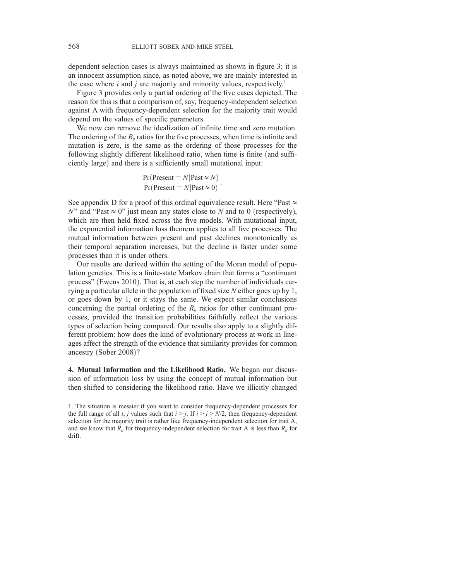dependent selection cases is always maintained as shown in figure 3; it is an innocent assumption since, as noted above, we are mainly interested in the case where  $i$  and  $j$  are majority and minority values, respectively.<sup>1</sup>

Figure 3 provides only a partial ordering of the five cases depicted. The reason for this is that a comparison of, say, frequency-independent selection against A with frequency-dependent selection for the majority trait would depend on the values of specific parameters.

We now can remove the idealization of infinite time and zero mutation. The ordering of the  $R_{ii}$  ratios for the five processes, when time is infinite and mutation is zero, is the same as the ordering of those processes for the following slightly different likelihood ratio, when time is finite (and sufficiently large) and there is a sufficiently small mutational input:

$$
\frac{\Pr(\text{Present} = N | \text{Fast} \approx N)}{\Pr(\text{Present} = N | \text{Fast} \approx 0)}.
$$

See appendix D for a proof of this ordinal equivalence result. Here "Past  $\approx$ N" and "Past  $\approx$  0" just mean any states close to N and to 0 (respectively), which are then held fixed across the five models. With mutational input, the exponential information loss theorem applies to all five processes. The mutual information between present and past declines monotonically as their temporal separation increases, but the decline is faster under some processes than it is under others.

Our results are derived within the setting of the Moran model of population genetics. This is a finite-state Markov chain that forms a "continuant process" (Ewens 2010). That is, at each step the number of individuals carrying a particular allele in the population of fixed size N either goes up by 1, or goes down by 1, or it stays the same. We expect similar conclusions concerning the partial ordering of the  $R_{ij}$  ratios for other continuant processes, provided the transition probabilities faithfully reflect the various types of selection being compared. Our results also apply to a slightly different problem: how does the kind of evolutionary process at work in lineages affect the strength of the evidence that similarity provides for common ancestry (Sober 2008)?

4. Mutual Information and the Likelihood Ratio. We began our discussion of information loss by using the concept of mutual information but then shifted to considering the likelihood ratio. Have we illicitly changed

<sup>1.</sup> The situation is messier if you want to consider frequency-dependent processes for the full range of all i, j values such that  $i > j$ . If  $i > j > N/2$ , then frequency-dependent selection for the majority trait is rather like frequency-independent selection for trait A, and we know that  $R_{ii}$  for frequency-independent selection for trait A is less than  $R_{ii}$  for drift.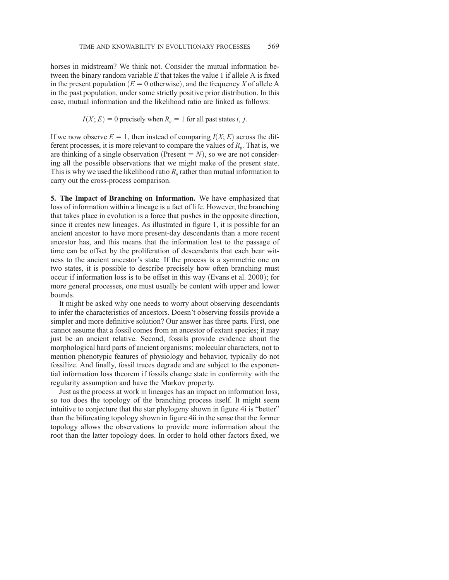horses in midstream? We think not. Consider the mutual information between the binary random variable  $E$  that takes the value 1 if allele A is fixed in the present population ( $E = 0$  otherwise), and the frequency X of allele A in the past population, under some strictly positive prior distribution. In this case, mutual information and the likelihood ratio are linked as follows:

$$
I(X; E) = 0
$$
 precisely when  $R_{ij} = 1$  for all past states *i*, *j*.

If we now observe  $E = 1$ , then instead of comparing  $I(X; E)$  across the different processes, it is more relevant to compare the values of  $R_{ii}$ . That is, we are thinking of a single observation (Present  $= N$ ), so we are not considering all the possible observations that we might make of the present state. This is why we used the likelihood ratio  $R_{ii}$  rather than mutual information to carry out the cross-process comparison.

5. The Impact of Branching on Information. We have emphasized that loss of information within a lineage is a fact of life. However, the branching that takes place in evolution is a force that pushes in the opposite direction, since it creates new lineages. As illustrated in figure 1, it is possible for an ancient ancestor to have more present-day descendants than a more recent ancestor has, and this means that the information lost to the passage of time can be offset by the proliferation of descendants that each bear witness to the ancient ancestor's state. If the process is a symmetric one on two states, it is possible to describe precisely how often branching must occur if information loss is to be offset in this way (Evans et al. 2000); for more general processes, one must usually be content with upper and lower bounds.

It might be asked why one needs to worry about observing descendants to infer the characteristics of ancestors. Doesn't observing fossils provide a simpler and more definitive solution? Our answer has three parts. First, one cannot assume that a fossil comes from an ancestor of extant species; it may just be an ancient relative. Second, fossils provide evidence about the morphological hard parts of ancient organisms; molecular characters, not to mention phenotypic features of physiology and behavior, typically do not fossilize. And finally, fossil traces degrade and are subject to the exponential information loss theorem if fossils change state in conformity with the regularity assumption and have the Markov property.

Just as the process at work in lineages has an impact on information loss, so too does the topology of the branching process itself. It might seem intuitive to conjecture that the star phylogeny shown in figure 4i is "better" than the bifurcating topology shown in figure 4ii in the sense that the former topology allows the observations to provide more information about the root than the latter topology does. In order to hold other factors fixed, we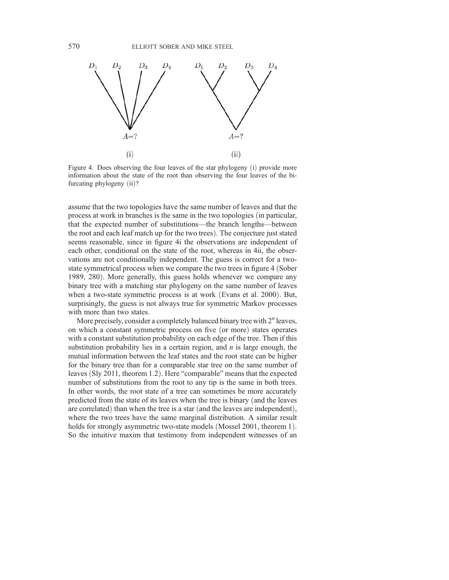

Figure 4. Does observing the four leaves of the star phylogeny (i) provide more information about the state of the root than observing the four leaves of the bifurcating phylogeny (ii)?

assume that the two topologies have the same number of leaves and that the process at work in branches is the same in the two topologies (in particular, that the expected number of substitutions—the branch lengths—between the root and each leaf match up for the two trees). The conjecture just stated seems reasonable, since in figure 4i the observations are independent of each other, conditional on the state of the root, whereas in 4ii, the observations are not conditionally independent. The guess is correct for a twostate symmetrical process when we compare the two trees in figure 4 (Sober 1989, 280). More generally, this guess holds whenever we compare any binary tree with a matching star phylogeny on the same number of leaves when a two-state symmetric process is at work (Evans et al. 2000). But, surprisingly, the guess is not always true for symmetric Markov processes with more than two states.

More precisely, consider a completely balanced binary tree with  $2^n$  leaves, on which a constant symmetric process on five (or more) states operates with a constant substitution probability on each edge of the tree. Then if this substitution probability lies in a certain region, and  $n$  is large enough, the mutual information between the leaf states and the root state can be higher for the binary tree than for a comparable star tree on the same number of leaves (Sly 2011, theorem 1.2). Here "comparable" means that the expected number of substitutions from the root to any tip is the same in both trees. In other words, the root state of a tree can sometimes be more accurately predicted from the state of its leaves when the tree is binary (and the leaves are correlated) than when the tree is a star (and the leaves are independent), where the two trees have the same marginal distribution. A similar result holds for strongly asymmetric two-state models (Mossel 2001, theorem 1). So the intuitive maxim that testimony from independent witnesses of an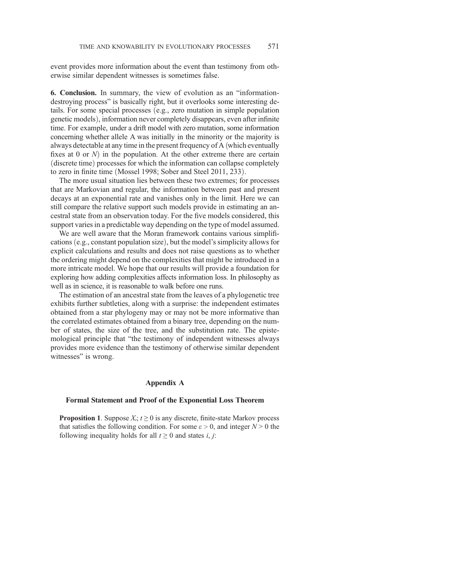event provides more information about the event than testimony from otherwise similar dependent witnesses is sometimes false.

6. Conclusion. In summary, the view of evolution as an "informationdestroying process" is basically right, but it overlooks some interesting details. For some special processes  $(e.g., zero mutation in simple population genetic models) information never completely disappears even after infinite$ genetic models), information never completely disappears, even after infinite<br>time. For example, under a drift model with zero mutation, some information time. For example, under a drift model with zero mutation, some information concerning whether allele A was initially in the minority or the majority is always detectable at any time in the present frequency of A (which eventually fixes at 0 or  $N$ ) in the population. At the other extreme there are certain (discrete time) processes for which the information can collapse completely to zero in finite time (Mossel 1998; Sober and Steel 2011, 233).

The more usual situation lies between these two extremes; for processes that are Markovian and regular, the information between past and present decays at an exponential rate and vanishes only in the limit. Here we can still compare the relative support such models provide in estimating an ancestral state from an observation today. For the five models considered, this support varies in a predictable way depending on the type of model assumed.

We are well aware that the Moran framework contains various simplifications (e.g., constant population size), but the model's simplicity allows for explicit calculations and results and does not raise questions as to whether the ordering might depend on the complexities that might be introduced in a more intricate model. We hope that our results will provide a foundation for exploring how adding complexities affects information loss. In philosophy as well as in science, it is reasonable to walk before one runs.

The estimation of an ancestral state from the leaves of a phylogenetic tree exhibits further subtleties, along with a surprise: the independent estimates obtained from a star phylogeny may or may not be more informative than the correlated estimates obtained from a binary tree, depending on the number of states, the size of the tree, and the substitution rate. The epistemological principle that "the testimony of independent witnesses always provides more evidence than the testimony of otherwise similar dependent witnesses" is wrong.

#### Appendix A

#### Formal Statement and Proof of the Exponential Loss Theorem

**Proposition 1.** Suppose  $X_i$ ;  $t \geq 0$  is any discrete, finite-state Markov process that satisfies the following condition. For some  $\varepsilon > 0$ , and integer  $N > 0$  the following inequality holds for all  $t \geq 0$  and states *i*, *j*: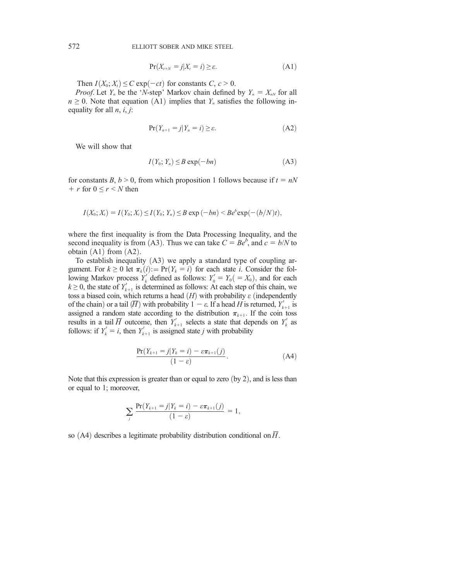$$
\Pr(X_{t+N} = j | X_t = i) \ge \varepsilon. \tag{A1}
$$

Then  $I(X_0; X_t) \leq C \exp(-ct)$  for constants  $C, c > 0$ .

*Proof.* Let  $Y_n$  be the 'N-step' Markov chain defined by  $Y_n = X_{nN}$  for all  $n \geq 0$ . Note that equation (A1) implies that  $Y_n$  satisfies the following inequality for all  $n$ ,  $i$ ,  $j$ :

$$
\Pr(Y_{n+1} = j | Y_n = i) \ge \varepsilon. \tag{A2}
$$

We will show that

$$
I(Y_0; Y_n) \leq B \exp(-bn) \tag{A3}
$$

for constants B,  $b > 0$ , from which proposition 1 follows because if  $t = nN$ + r for  $0 \le r \le N$  then

$$
I(X_0; X_t) = I(Y_0; X_t) \le I(Y_0; Y_n) \le B \exp(-bn) < B e^b \exp(-(b/N)t),
$$

where the first inequality is from the Data Processing Inequality, and the second inequality is from (A3). Thus we can take  $C = Be^b$ , and  $c = b/N$  to obtain (A1) from (A2) obtain  $(A1)$  from  $(A2)$ .

To establish inequality  $(A3)$  we apply a standard type of coupling argument. For  $k \geq 0$  let  $\pi_k(i) := \Pr(Y_k = i)$  for each state i. Consider the following Markov process  $Y'_k$  defined as follows:  $Y'_0 = Y_0 = X_0$ , and for each  $k \ge 0$ , the state of  $Y'_{k+1}$  is determined as follows: At each step of this chain, we toss a biased coin, which returns a head  $(H)$  with probability  $\varepsilon$  (independently of the chain) or a tail  $(\overline{H})$  with probability  $1 - \varepsilon$ . If a head H is returned,  $Y'_{k+1}$  is assigned a random state according to the distribution  $\pi_{k+1}$ . If the coin toss assigned a random state according to the distribution  $\pi_{k+1}$ . If the coin toss results in a tail  $\overline{H}$  outcome, then  $Y'_{k+1}$  selects a state that depends on  $Y'_{k}$  as follows: if  $Y'_k = i$ , then  $Y'_{k+1}$  is assigned state j with probability

$$
\frac{\Pr(Y_{k+1} = j | Y_k = i) - \varepsilon \pi_{k+1}(j)}{(1 - \varepsilon)}.
$$
\n(A4)

Note that this expression is greater than or equal to zero  $(by 2)$ , and is less than or equal to 1; moreover,

$$
\sum_{j} \frac{\Pr(Y_{k+1} = j | Y_k = i) - \varepsilon \pi_{k+1}(j)}{(1 - \varepsilon)} = 1,
$$

so (A4) describes a legitimate probability distribution conditional on  $\overline{H}$ .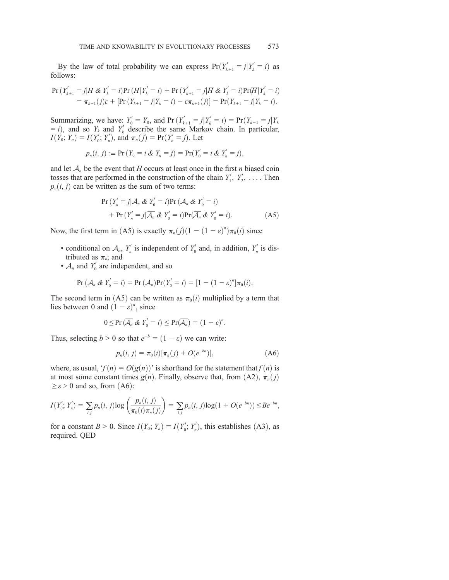By the law of total probability we can express  $Pr(Y'_{k+1} = j | Y'_{k} = i)$  as llows: follows:

$$
\Pr(Y'_{k+1} = j | H \& Y'_{k} = i) \Pr(H | Y'_{k} = i) + \Pr(Y'_{k+1} = j | \overline{H} \& Y'_{k} = i) \Pr(\overline{H} | Y'_{k} = i) \n= \pi_{k+1}(j) \varepsilon + [\Pr(Y_{k+1} = j | Y_{k} = i) - \varepsilon \pi_{k+1}(j)] = \Pr(Y_{k+1} = j | Y_{k} = i).
$$

Summarizing, we have:  $Y_0' = Y_0$ , and  $Pr(Y_{k+1}' = j | Y_k' = i) = Pr(Y_{k+1} = j | Y_k = i)$  and so Y, and Y' describe the same Markov chain. In particular  $(t = i)$ , and so  $Y_k$  and  $Y'_k$  describe the same Markov chain. In particular,  $I(Y_i \cdot Y) = I(Y'_i \cdot Y'_i)$  and  $\pi(i) = Pr(Y'_i = i)$  Let  $I(Y_0; Y_n) = I(Y'_0; Y'_n)$ , and  $\pi_n(j) = Pr(Y'_n = j)$ . Let

$$
p_n(i, j) := Pr(Y_0 = i \& Y_n = j) = Pr(Y'_0 = i \& Y'_n = j),
$$

and let  $A_n$  be the event that H occurs at least once in the first n biased coin tosses that are performed in the construction of the chain  $Y'_1, Y'_2, \ldots$ . Then  $p_n(i, j)$  can be written as the sum of two terms:

$$
\Pr\left(Y'_n = j | \mathcal{A}_n \& Y'_0 = i\right) \Pr\left(\mathcal{A}_n \& Y'_0 = i\right) \\
+ \Pr\left(Y'_n = j | \overline{\mathcal{A}_n} \& Y'_0 = i\right) \Pr(\overline{\mathcal{A}_n} \& Y'_0 = i).
$$
\n(A5)

Now, the first term in (A5) is exactly  $\pi_n(j)(1 - (1 - \varepsilon)^n)\pi_0(i)$  since

- conditional on  $\mathcal{A}_n$ ,  $Y'_n$  is independent of  $Y'_0$  and, in addition,  $Y'_n$  is distributed as  $\pi$ : and tributed as  $\pi_n$ ; and
- $A_n$  and  $Y'_0$  are independent, and so

$$
\Pr\left(\mathcal{A}_n \& Y_0' = i\right) = \Pr\left(\mathcal{A}_n\right) \Pr(Y_0' = i) = [1 - (1 - \varepsilon)^n] \pi_0(i).
$$

The second term in (A5) can be written as  $\pi_0(i)$  multiplied by a term that lies between 0 and  $(1 - \varepsilon)^n$ , since

$$
0 \leq \Pr\left(\overline{\mathcal{A}_n} \& Y'_0 = i\right) \leq \Pr(\overline{\mathcal{A}_n}) = (1 - \varepsilon)^n.
$$

Thus, selecting  $b > 0$  so that  $e^{-b} = (1 - \varepsilon)$  we can write:

$$
p_n(i, j) = \pi_0(i) [\pi_n(j) + O(e^{-bn})], \tag{A6}
$$

where, as usual,  $f(n) = O(g(n))$ ' is shorthand for the statement that  $f(n)$  is at most some constant times  $g(n)$ . Finally, observe that, from  $(A2)$ ,  $\pi_n(j)$  $\geq \varepsilon$  > 0 and so, from (A6):

$$
I(Y'_0; Y'_n) = \sum_{i,j} p_n(i,j) \log \left( \frac{p_n(i,j)}{\pi_0(i)\pi_n(j)} \right) = \sum_{i,j} p_n(i,j) \log(1 + O(e^{-bn})) \leq Be^{-bn},
$$

for a constant  $B > 0$ . Since  $I(Y_0; Y_n) = I(Y'_0; Y'_n)$ , this establishes (A3), as required OED required. QED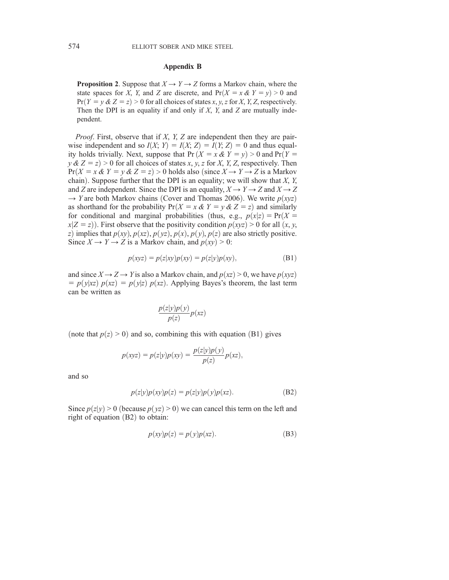### Appendix B

**Proposition 2.** Suppose that  $X \to Y \to Z$  forms a Markov chain, where the state spaces for X, Y, and Z are discrete, and  $Pr(X = x \& Y = y) > 0$  and  $Pr(Y = y \& Z = z) > 0$  for all choices of states x, y, z for X, Y, Z, respectively. Then the DPI is an equality if and only if  $X$ ,  $Y$ , and  $Z$  are mutually independent.

*Proof.* First, observe that if  $X$ ,  $Y$ ,  $Z$  are independent then they are pairwise independent and so  $I(X; Y) = I(X; Z) = I(Y; Z) = 0$  and thus equal-<br>ity holds trivially. Next, suppose that  $Pr(X = x \& Y = y) > 0$  and  $Pr(Y = y)$ ity holds trivially. Next, suppose that  $Pr(X = x \& Y = y) > 0$  and  $Pr(Y = y \& Z = z) > 0$  for all choices of states x y z for X Y Z respectively. Then  $y \& Z = z$ ) > 0 for all choices of states x, y, z for X, Y, Z, respectively. Then<br>Pr( $X = x \& Y = y \& Z = z$ ) > 0 holds also (since  $X \rightarrow Y \rightarrow Z$  is a Markov  $Pr(X = x \& Y = y \& Z = z) > 0$  holds also (since  $X \rightarrow Y \rightarrow Z$  is a Markov chain). Suppose further that the DPI is an equality; we will show that  $X$ ,  $Y$ , and Z are independent. Since the DPI is an equality,  $X \rightarrow Y \rightarrow Z$  and  $X \rightarrow Z$  $\rightarrow$  Y are both Markov chains (Cover and Thomas 2006). We write  $p(xyz)$ as shorthand for the probability  $Pr(X = x \& Y = y \& Z = z)$  and similarly for conditional and marginal probabilities (thus, e.g.,  $p(x|z) = Pr(X =$  $x|Z = z$ ). First observe that the positivity condition  $p(xyz) > 0$  for all  $(x, y, z)$ z) implies that  $p(xy), p(xz), p(yz), p(x), p(y), p(z)$  are also strictly positive. Since  $X \to Y \to Z$  is a Markov chain, and  $p(xy) > 0$ :

$$
p(xyz) = p(z|xy)p(xy) = p(z|y)p(xy),
$$
 (B1)

and since  $X \rightarrow Z \rightarrow Y$  is also a Markov chain, and  $p(xz) > 0$ , we have  $p(xyz)$  $= p(y|xz) p(xz) = p(y|z) p(xz)$ . Applying Bayes's theorem, the last term can be written as

$$
\frac{p(z|y)p(y)}{p(z)}p(xz)
$$

(note that  $p(z) > 0$ ) and so, combining this with equation (B1) gives

$$
p(xyz) = p(z|y)p(xy) = \frac{p(z|y)p(y)}{p(z)}p(xz),
$$

and so

$$
p(z|y)p(xy)p(z) = p(z|y)p(y)p(xz).
$$
 (B2)

Since  $p(z|y) > 0$  (because  $p(yz) > 0$ ) we can cancel this term on the left and right of equation  $(B2)$  to obtain:

$$
p(xy)p(z) = p(y)p(xz).
$$
 (B3)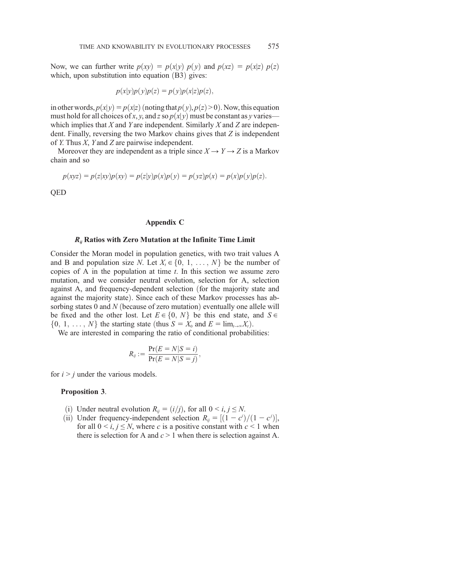Now, we can further write  $p(xy) = p(x|y) p(y)$  and  $p(xz) = p(x|z) p(z)$ which, upon substitution into equation  $(B3)$  gives:

$$
p(x|y)p(y)p(z) = p(y)p(x|z)p(z),
$$

in other words,  $p(x|y) = p(x|z)$  (noting that  $p(y)$ ,  $p(z) > 0$ ). Now, this equation must hold for all choices of x, y, and z so  $p(x|y)$  must be constant as y varies which implies that  $X$  and  $Y$  are independent. Similarly  $X$  and  $Z$  are independent. Finally, reversing the two Markov chains gives that Z is independent of Y. Thus X, Y and Z are pairwise independent.

Moreover they are independent as a triple since  $X \to Y \to Z$  is a Markov chain and so

$$
p(xyz) = p(z|xy)p(xy) = p(z|y)p(x)p(y) = p(yz)p(x) = p(x)p(y)p(z).
$$

QED

#### Appendix C

### $R_{ij}$  Ratios with Zero Mutation at the Infinite Time Limit

Consider the Moran model in population genetics, with two trait values A and B and population size N. Let  $X_t \in \{0, 1, \ldots, N\}$  be the number of copies of A in the population at time  $t$ . In this section we assume zero mutation, and we consider neutral evolution, selection for A, selection against A, and frequency-dependent selection (for the majority state and against the majority state). Since each of these Markov processes has absorbing states 0 and  $N$  (because of zero mutation) eventually one allele will be fixed and the other lost. Let  $E \in \{0, N\}$  be this end state, and  $S \in$  $\{0, 1, \ldots, N\}$  the starting state (thus  $S = X_0$  and  $E = \lim_{t \to \infty} X_t$ ).

We are interested in comparing the ratio of conditional probabilities:

$$
R_{ij} := \frac{\Pr(E = N | S = i)}{\Pr(E = N | S = j)},
$$

for  $i > j$  under the various models.

#### Proposition 3.

- (i) Under neutral evolution  $R_{ij} = (i/j)$ , for all  $0 \le i, j \le N$ .
- (ii) Under frequency-independent selection  $R_{ij} = [(1 c^i)/(1 c^i)]$ ,<br>for all  $0 \le i \le N$  where c is a positive constant with  $c \le 1$  when For all  $0 \le i, j \le N$ , where c is a positive constant with  $c \le 1$  when there is selection for A and  $c > 1$  when there is selection against A.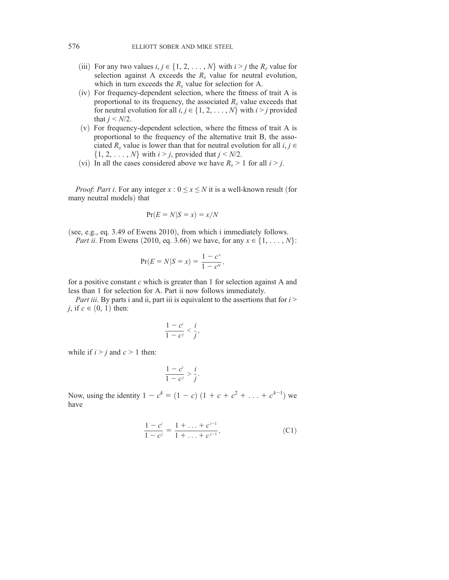- (iii) For any two values  $i, j \in \{1, 2, \ldots, N\}$  with  $i > j$  the  $R_{ij}$  value for selection against A exceeds the  $R_{ij}$  value for neutral evolution, which in turn exceeds the  $R_{ij}$  value for selection for A.
- $(iv)$  For frequency-dependent selection, where the fitness of trait A is proportional to its frequency, the associated  $R_{ii}$  value exceeds that for neutral evolution for all  $i, j \in \{1, 2, \dots, N\}$  with  $i > j$  provided that  $j < N/2$ .
- $(v)$  For frequency-dependent selection, where the fitness of trait A is proportional to the frequency of the alternative trait B, the associated  $R_{ii}$  value is lower than that for neutral evolution for all  $i, j \in$  $\{1, 2, \ldots, N\}$  with  $i > j$ , provided that  $j < N/2$ .
- (vi) In all the cases considered above we have  $R_{ij} > 1$  for all  $i > j$ .

*Proof: Part i.* For any integer  $x : 0 \le x \le N$  it is a well-known result (for many neutral models) that

$$
\Pr(E = N | S = x) = x / N
$$

(see, e.g., eq. 3.49 of Ewens 2010), from which i immediately follows. *Part ii.* From Ewens (2010, eq. 3.66) we have, for any  $x \in \{1, \ldots, N\}$ :

$$
\Pr(E = N | S = x) = \frac{1 - c^x}{1 - c^y},
$$

for a positive constant  $c$  which is greater than 1 for selection against A and less than 1 for selection for A. Part ii now follows immediately.

Part iii. By parts i and ii, part iii is equivalent to the assertions that for  $i >$ j, if  $c \in (0, 1)$  then:

$$
\frac{1-c^i}{1-c^j} < \frac{i}{j}
$$

;

:

while if  $i > j$  and  $c > 1$  then:

$$
\frac{1-c^i}{1-c^j} > \frac{i}{j}
$$

Now, using the identity  $1 - c^k = (1 - c) (1 + c + c^2 + ... + c^{k-1})$  we have have

$$
\frac{1-c^i}{1-c^j} = \frac{1+\ldots+c^{i-1}}{1+\ldots+c^{j-1}},\tag{C1}
$$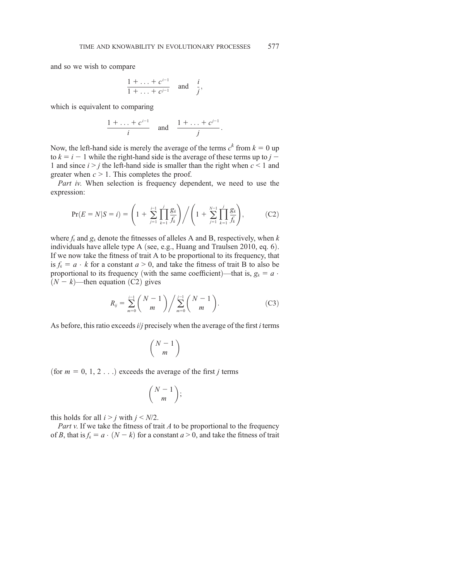and so we wish to compare

$$
\frac{1+\ldots+c^{i-1}}{1+\ldots+c^{j-1}} \quad \text{and} \quad \frac{i}{j},
$$

which is equivalent to comparing

$$
\frac{1+\ldots+c^{i-1}}{i} \quad \text{and} \quad \frac{1+\ldots+c^{j-1}}{j}.
$$

Now, the left-hand side is merely the average of the terms  $c^k$  from  $k = 0$  up to  $k = i - 1$  while the right-hand side is the average of these terms up to  $j - 1$ 1 and since  $i > j$  the left-hand side is smaller than the right when  $c < 1$  and greater when  $c > 1$ . This completes the proof.

Part iv. When selection is frequency dependent, we need to use the expression:

$$
\Pr(E = N | S = i) = \left(1 + \sum_{j=1}^{i-1} \prod_{k=1}^{j} \frac{g_k}{f_k}\right) \bigg/ \left(1 + \sum_{j=1}^{N-1} \prod_{k=1}^{j} \frac{g_k}{f_k}\right),\tag{C2}
$$

where  $f_k$  and  $g_k$  denote the fitnesses of alleles A and B, respectively, when k individuals have allele type A (see, e.g., Huang and Traulsen 2010, eq.  $6$ ). If we now take the fitness of trait A to be proportional to its frequency, that is  $f_k = a \cdot k$  for a constant  $a > 0$ , and take the fitness of trait B to also be proportional to its frequency (with the same coefficient)—that is,  $g_k = a$ .  $(N - k)$ —then equation  $(C2)$  gives

$$
R_{ij} = \sum_{m=0}^{i-1} {N-1 \choose m} / \sum_{m=0}^{j-1} {N-1 \choose m}.
$$
 (C3)

As before, this ratio exceeds  $i/j$  precisely when the average of the first  $i$  terms

$$
\binom{N-1}{m}
$$

(for  $m = 0, 1, 2, \ldots$ ) exceeds the average of the first j terms

$$
\binom{N-1}{m};
$$

this holds for all  $i > j$  with  $j < N/2$ .

Part v. If we take the fitness of trait  $A$  to be proportional to the frequency of B, that is  $f_k = a \cdot (N - k)$  for a constant  $a > 0$ , and take the fitness of trait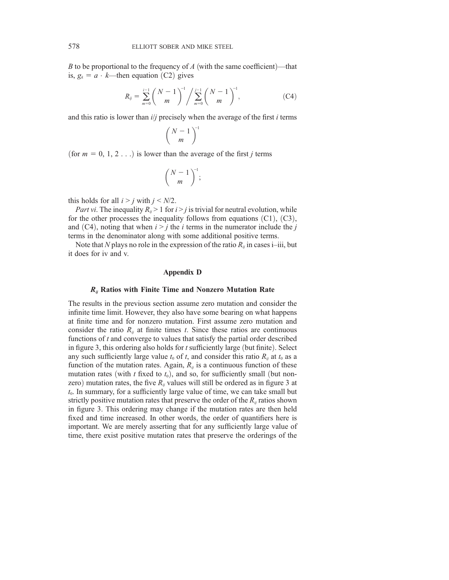B to be proportional to the frequency of A (with the same coefficient)—that is,  $g_k = a \cdot k$ —then equation (C2) gives

$$
R_{ij} = \sum_{m=0}^{i-1} {N-1 \choose m}^{-1} / \sum_{m=0}^{j-1} {N-1 \choose m}^{-1},
$$
 (C4)

and this ratio is lower than  $i/j$  precisely when the average of the first  $i$  terms

$$
\binom{N-1}{m}^{-1}
$$

(for  $m = 0, 1, 2, \ldots$ ) is lower than the average of the first j terms

$$
\binom{N-1}{m}^{-1};
$$

this holds for all  $i > j$  with  $j < N/2$ .

Part vi. The inequality  $R_{ii} > 1$  for  $i > j$  is trivial for neutral evolution, while for the other processes the inequality follows from equations  $(C1)$ ,  $(C3)$ , and  $(C4)$ , noting that when  $i > j$  the i terms in the numerator include the j terms in the denominator along with some additional positive terms.

Note that N plays no role in the expression of the ratio  $R_{ii}$  in cases i–iii, but it does for iv and v.

#### Appendix D

### $R_{ij}$  Ratios with Finite Time and Nonzero Mutation Rate

The results in the previous section assume zero mutation and consider the infinite time limit. However, they also have some bearing on what happens at finite time and for nonzero mutation. First assume zero mutation and consider the ratio  $R_{ii}$  at finite times t. Since these ratios are continuous functions of  $t$  and converge to values that satisfy the partial order described in figure 3, this ordering also holds for  $t$  sufficiently large (but finite). Select any such sufficiently large value  $t_0$  of t, and consider this ratio  $R_{ij}$  at  $t_0$  as a function of the mutation rates. Again,  $R_{ij}$  is a continuous function of these mutation rates (with t fixed to  $t_0$ ), and so, for sufficiently small (but nonzero) mutation rates, the five  $R_{ij}$  values will still be ordered as in figure 3 at  $t<sub>0</sub>$ . In summary, for a sufficiently large value of time, we can take small but strictly positive mutation rates that preserve the order of the  $R_{ii}$  ratios shown in figure 3. This ordering may change if the mutation rates are then held fixed and time increased. In other words, the order of quantifiers here is important. We are merely asserting that for any sufficiently large value of time, there exist positive mutation rates that preserve the orderings of the